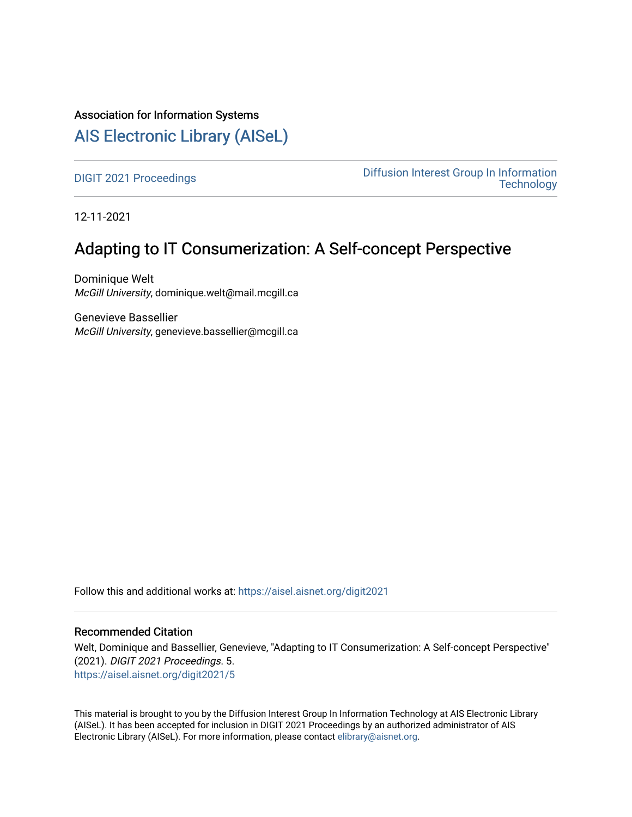## Association for Information Systems

## [AIS Electronic Library \(AISeL\)](https://aisel.aisnet.org/)

[DIGIT 2021 Proceedings](https://aisel.aisnet.org/digit2021) [Diffusion Interest Group In Information](https://aisel.aisnet.org/digit)  **Technology** 

12-11-2021

# Adapting to IT Consumerization: A Self-concept Perspective

Dominique Welt McGill University, dominique.welt@mail.mcgill.ca

Genevieve Bassellier McGill University, genevieve.bassellier@mcgill.ca

Follow this and additional works at: [https://aisel.aisnet.org/digit2021](https://aisel.aisnet.org/digit2021?utm_source=aisel.aisnet.org%2Fdigit2021%2F5&utm_medium=PDF&utm_campaign=PDFCoverPages) 

#### Recommended Citation

Welt, Dominique and Bassellier, Genevieve, "Adapting to IT Consumerization: A Self-concept Perspective" (2021). DIGIT 2021 Proceedings. 5. [https://aisel.aisnet.org/digit2021/5](https://aisel.aisnet.org/digit2021/5?utm_source=aisel.aisnet.org%2Fdigit2021%2F5&utm_medium=PDF&utm_campaign=PDFCoverPages) 

This material is brought to you by the Diffusion Interest Group In Information Technology at AIS Electronic Library (AISeL). It has been accepted for inclusion in DIGIT 2021 Proceedings by an authorized administrator of AIS Electronic Library (AISeL). For more information, please contact [elibrary@aisnet.org.](mailto:elibrary@aisnet.org%3E)